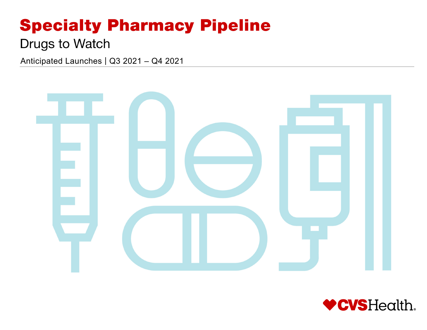# **Specialty Pharmacy Pipeline**

## **Drugs to Watch**

Anticipated Launches | Q3 2021 – Q4 2021



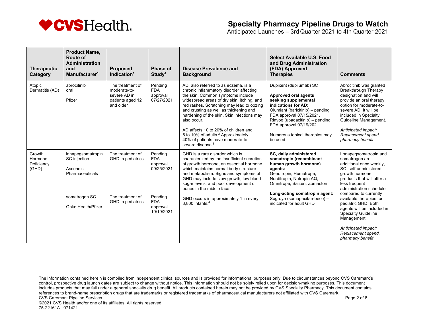

Anticipated Launches – 3rd Quarter 2021 to 4th Quarter 2021

| <b>Therapeutic</b><br>Category           | <b>Product Name,</b><br><b>Route of</b><br><b>Administration</b><br>and<br>Manufacturer <sup>1</sup> | <b>Proposed</b><br>Indication $1$                                                 | Phase of<br>Study <sup>1</sup>                  | Disease Prevalence and<br><b>Background</b>                                                                                                                                                                                                                                                                                                                                                                                                                                           | Select Available U.S. Food<br>and Drug Administration<br>(FDA) Approved<br><b>Therapies</b>                                                                                                                                                                               | <b>Comments</b>                                                                                                                                                                                                                                                           |
|------------------------------------------|------------------------------------------------------------------------------------------------------|-----------------------------------------------------------------------------------|-------------------------------------------------|---------------------------------------------------------------------------------------------------------------------------------------------------------------------------------------------------------------------------------------------------------------------------------------------------------------------------------------------------------------------------------------------------------------------------------------------------------------------------------------|---------------------------------------------------------------------------------------------------------------------------------------------------------------------------------------------------------------------------------------------------------------------------|---------------------------------------------------------------------------------------------------------------------------------------------------------------------------------------------------------------------------------------------------------------------------|
| Atopic<br>Dermatitis (AD)                | abrocitinib<br>oral<br>Pfizer                                                                        | The treatment of<br>moderate-to-<br>severe AD in<br>patients aged 12<br>and older | Pending<br><b>FDA</b><br>approval<br>07/27/2021 | AD, also referred to as eczema, is a<br>chronic inflammatory disorder affecting<br>the skin. Common symptoms include<br>widespread areas of dry skin, itching, and<br>red rashes. Scratching may lead to oozing<br>and crusting as well as thickening and<br>hardening of the skin. Skin infections may<br>also occur.<br>AD affects 10 to 20% of children and<br>5 to 10% of adults. <sup>2</sup> Approximately<br>40% of patients have moderate-to-<br>severe disease. <sup>3</sup> | Dupixent (dupilumab) SC<br>Approved oral agents<br>seeking supplemental<br>indications for AD:<br>Olumiant (baricitinib) - pending<br>FDA approval 07/15/2021,<br>Rinvoq (upadacitinib) - pending<br>FDA approval 07/19/2021<br>Numerous topical therapies may<br>be used | Abrocitinib was granted<br>Breakthrough Therapy<br>designation and will<br>provide an oral therapy<br>option for moderate-to-<br>severe AD. It will be<br>included in Specialty<br>Guideline Management.<br>Anticipated impact:<br>Replacement spend,<br>pharmacy benefit |
| Growth<br>Hormone<br>Deficiency<br>(GHD) | lonapegsomatropin<br>SC injection<br>Ascendis<br>Pharmaceuticals                                     | The treatment of<br>GHD in pediatrics                                             | Pending<br><b>FDA</b><br>approval<br>09/25/2021 | GHD is a rare disorder which is<br>characterized by the insufficient secretion<br>of growth hormone, an essential hormone<br>which maintains normal body structure<br>and metabolism. Signs and symptoms of<br>GHD may include slow growth, low blood<br>sugar levels, and poor development of<br>bones in the middle face.                                                                                                                                                           | SC, daily administered<br>somatropin (recombinant<br>human growth hormone)<br>agents:<br>Genotropin, Humatrope,<br>Norditropin, Nutropin AQ,<br>Omnitrope, Saizen, Zomacton                                                                                               | Lonapegsomatropin and<br>somatrogon are<br>additional once weekly.<br>SC, self-administered<br>growth hormone<br>products that will offer a<br>less frequent<br>administration schedule                                                                                   |
|                                          | somatrogon SC<br>Opko Health/Pfizer                                                                  | The treatment of<br>GHD in pediatrics                                             | Pending<br><b>FDA</b><br>approval<br>10/19/2021 | GHD occurs in approximately 1 in every<br>3.800 infants. <sup>4</sup>                                                                                                                                                                                                                                                                                                                                                                                                                 | Long-acting somatropin agent:<br>Sogroya (somapacitan-beco) -<br>indicated for adult GHD                                                                                                                                                                                  | compared to currently<br>available therapies for<br>pediatric GHD. Both<br>agents will be included in<br><b>Specialty Guideline</b><br>Management.<br>Anticipated impact:<br>Replacement spend,<br>pharmacy benefit                                                       |

The information contained herein is compiled from independent clinical sources and is provided for informational purposes only. Due to circumstances beyond CVS Caremark's control, prospective drug launch dates are subject to change without notice. This information should not be solely relied upon for decision-making purposes. This document includes products that may fall under a general specialty drug benefit. All products contained herein may not be provided by CVS Specialty Pharmacy. This document contains references to brand-name prescription drugs that are trademarks or registered trademarks of pharmaceutical manufacturers not affiliated with CVS Caremark. CVS Caremark Pipeline Services **Page 2 of 8** and 2 of 8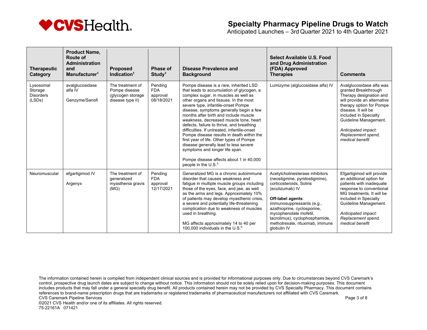

Anticipated Launches – 3rd Quarter 2021 to 4th Quarter 2021

| <b>Therapeutic</b><br>Category                     | <b>Product Name.</b><br><b>Route of</b><br><b>Administration</b><br>and<br>Manufacturer <sup>1</sup> | <b>Proposed</b><br>Indication $1$                                          | Phase of<br>Study <sup>1</sup>                  | <b>Disease Prevalence and</b><br><b>Background</b>                                                                                                                                                                                                                                                                                                                                                                                                                                                                                                                                                                                                                                     | Select Available U.S. Food<br>and Drug Administration<br>(FDA) Approved<br><b>Therapies</b>                                                                                                                                                                                                                     | <b>Comments</b>                                                                                                                                                                                                                                                                 |
|----------------------------------------------------|------------------------------------------------------------------------------------------------------|----------------------------------------------------------------------------|-------------------------------------------------|----------------------------------------------------------------------------------------------------------------------------------------------------------------------------------------------------------------------------------------------------------------------------------------------------------------------------------------------------------------------------------------------------------------------------------------------------------------------------------------------------------------------------------------------------------------------------------------------------------------------------------------------------------------------------------------|-----------------------------------------------------------------------------------------------------------------------------------------------------------------------------------------------------------------------------------------------------------------------------------------------------------------|---------------------------------------------------------------------------------------------------------------------------------------------------------------------------------------------------------------------------------------------------------------------------------|
| Lysosomal<br>Storage<br><b>Disorders</b><br>(LSDs) | avalglucosidase<br>alfa IV<br>Genzyme/Sanofi                                                         | The treatment of<br>Pompe disease<br>(glycogen storage<br>disease type II) | Pending<br><b>FDA</b><br>approval<br>08/18/2021 | Pompe disease is a rare, inherited LSD<br>that leads to accumulation of glycogen, a<br>complex sugar, in muscles as well as<br>other organs and tissues. In the most<br>severe type, infantile-onset Pompe<br>disease, symptoms generally begin a few<br>months after birth and include muscle<br>weakness, decreased muscle tone, heart<br>defects, failure to thrive, and breathing<br>difficulties. If untreated, infantile-onset<br>Pompe disease results in death within the<br>first year of life. Other types of Pompe<br>disease generally lead to less severe<br>symptoms and longer life span.<br>Pompe disease affects about 1 in 40,000<br>people in the U.S. <sup>5</sup> | Lumizyme (alglucosidase alfa) IV                                                                                                                                                                                                                                                                                | Avalglucosidase alfa was<br>granted Breakthrough<br>Therapy designation and<br>will provide an alternative<br>therapy option for Pompe<br>disease. It will be<br>included in Specialty<br>Guideline Management.<br>Anticipated impact:<br>Replacement spend.<br>medical benefit |
| Neuromuscular                                      | efgartigimod IV<br>Argenyx                                                                           | The treatment of<br>generalized<br>myasthenia gravis<br>(MG)               | Pending<br><b>FDA</b><br>approval<br>12/17/2021 | Generalized MG is a chronic autoimmune<br>disorder that causes weakness and<br>fatigue in multiple muscle groups including<br>those of the eyes, face, and jaw, as well<br>as the arms and legs. Approximately 10%<br>of patients may develop myasthenic crisis,<br>a severe and potentially life-threatening<br>complication due to weakness of muscles<br>used in breathing.<br>MG affects approximately 14 to 40 per<br>100,000 individuals in the U.S. $6$                                                                                                                                                                                                                         | Acetylcholinesterase inhibitors<br>(neostigmine, pyridostigmine),<br>corticosteroids. Soliris<br>(eculizumab) IV<br>Off-label agents:<br>immunosuppressants (e.g.,<br>azathioprine, cyclosporine,<br>mycophenolate mofetil,<br>tacrolimus), cyclophosphamide,<br>methotrexate, rituximab, immune<br>globulin IV | Efgartigimod will provide<br>an additional option for<br>patients with inadequate<br>response to conventional<br>MG treatments. It will be<br>included in Specialty<br>Guideline Management.<br>Anticipated impact:<br>Replacement spend,<br>medical benefit                    |

The information contained herein is compiled from independent clinical sources and is provided for informational purposes only. Due to circumstances beyond CVS Caremark's control, prospective drug launch dates are subject to change without notice. This information should not be solely relied upon for decision-making purposes. This document includes products that may fall under a general specialty drug benefit. All products contained herein may not be provided by CVS Specialty Pharmacy. This document contains references to brand-name prescription drugs that are trademarks or registered trademarks of pharmaceutical manufacturers not affiliated with CVS Caremark. CVS Caremark Pipeline Services **Page 3 of 8** and 2011 12 of 8 and 2012 12:00 page 3 of 8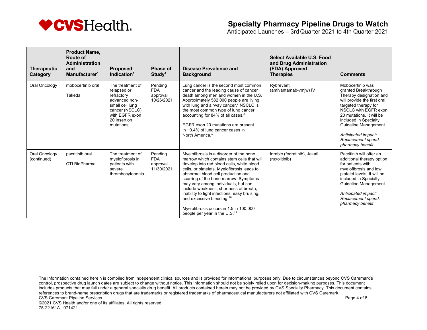

Anticipated Launches – 3rd Quarter 2021 to 4th Quarter 2021

| <b>Therapeutic</b><br>Category | <b>Product Name.</b><br><b>Route of</b><br><b>Administration</b><br>and<br>Manufacturer <sup>1</sup> | <b>Proposed</b><br>Indication $1$                                                                                                                  | <b>Phase of</b><br>Study <sup>1</sup>           | <b>Disease Prevalence and</b><br><b>Background</b>                                                                                                                                                                                                                                                                                                                                                                                                                                                                          | Select Available U.S. Food<br>and Drug Administration<br>(FDA) Approved<br><b>Therapies</b> | <b>Comments</b>                                                                                                                                                                                                                                                                                   |
|--------------------------------|------------------------------------------------------------------------------------------------------|----------------------------------------------------------------------------------------------------------------------------------------------------|-------------------------------------------------|-----------------------------------------------------------------------------------------------------------------------------------------------------------------------------------------------------------------------------------------------------------------------------------------------------------------------------------------------------------------------------------------------------------------------------------------------------------------------------------------------------------------------------|---------------------------------------------------------------------------------------------|---------------------------------------------------------------------------------------------------------------------------------------------------------------------------------------------------------------------------------------------------------------------------------------------------|
| Oral Oncology                  | mobocertinib oral<br>Takeda                                                                          | The treatment of<br>relapsed or<br>refractory<br>advanced non-<br>small cell lung<br>cancer (NSCLC)<br>with EGFR exon<br>20 insertion<br>mutations | Pending<br><b>FDA</b><br>approval<br>10/26/2021 | Lung cancer is the second most common<br>cancer and the leading cause of cancer<br>death among men and women in the U.S.<br>Approximately 582,000 people are living<br>with lung and airway cancer. <sup>7</sup> NSCLC is<br>the most common type of lung cancer,<br>accounting for 84% of all cases. <sup>8</sup><br>EGFR exon 20 mutations are present<br>in $\sim$ 0.4% of lung cancer cases in<br>North America. <sup>9</sup>                                                                                           | Rybrevant<br>(amivantamab-vmjw) IV                                                          | Mobocertinib was<br>granted Breakthrough<br>Therapy designation and<br>will provide the first oral<br>targeted therapy for<br>NSCLC with EGFR exon<br>20 mutations. It will be<br>included in Specialty<br>Guideline Management.<br>Anticipated impact:<br>Replacement spend,<br>pharmacy benefit |
| Oral Oncology<br>(continued)   | pacritinib oral<br>CTI BioPharma                                                                     | The treatment of<br>myelofibrosis in<br>patients with<br>severe<br>thrombocytopenia                                                                | Pending<br><b>FDA</b><br>approval<br>11/30/2021 | Myelofibrosis is a disorder of the bone<br>marrow which contains stem cells that will<br>develop into red blood cells, white blood<br>cells, or platelets. Myelofibrosis leads to<br>abnormal blood cell production and<br>scarring of the bone marrow. Symptoms<br>may vary among individuals, but can<br>include weakness, shortness of breath,<br>inability to fight infections, easy bruising,<br>and excessive bleeding. <sup>10</sup><br>Myelofibrosis occurs in 1.5 in 100,000<br>people per year in the $U.S.^{11}$ | Inrebic (fedratinib), Jakafi<br>(ruxolitinib)                                               | Pacritinib will offer an<br>additional therapy option<br>for patients with<br>myelofibrosis and low<br>platelet levels. It will be<br>included in Specialty<br>Guideline Management.<br>Anticipated impact:<br>Replacement spend,<br>pharmacy benefit                                             |

The information contained herein is compiled from independent clinical sources and is provided for informational purposes only. Due to circumstances beyond CVS Caremark's control, prospective drug launch dates are subject to change without notice. This information should not be solely relied upon for decision-making purposes. This document includes products that may fall under a general specialty drug benefit. All products contained herein may not be provided by CVS Specialty Pharmacy. This document contains references to brand-name prescription drugs that are trademarks or registered trademarks of pharmaceutical manufacturers not affiliated with CVS Caremark. CVS Caremark Pipeline Services **Page 4 of 8** and 2011 12 and 2012 12 and 2012 12 and 2012 12 and 2012 12 and 2012 12 and 2012 12 and 2012 12 and 2012 12 and 2012 12 and 2012 12 and 2012 12 and 2012 12 and 2012 12 and 2012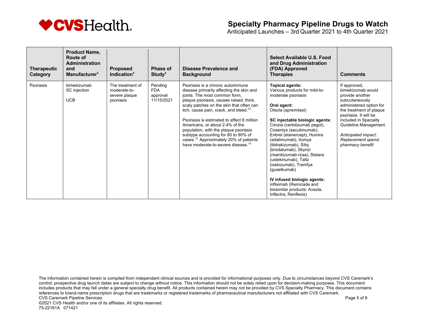

Anticipated Launches – 3rd Quarter 2021 to 4th Quarter 2021

| <b>Therapeutic</b><br>Category | <b>Product Name,</b><br>Route of<br><b>Administration</b><br>and<br>Manufacturer <sup>1</sup> | <b>Proposed</b><br>Indication $1$                              | Phase of<br>Study <sup>1</sup>                  | Disease Prevalence and<br><b>Background</b>                                                                                                                                                                                                                                                                                                                                                                                                                                                                                         | Select Available U.S. Food<br>and Drug Administration<br>(FDA) Approved<br><b>Therapies</b>                                                                                                                                                                                                                                                                                                                                                                                                                                                     | <b>Comments</b>                                                                                                                                                                                                                                                          |
|--------------------------------|-----------------------------------------------------------------------------------------------|----------------------------------------------------------------|-------------------------------------------------|-------------------------------------------------------------------------------------------------------------------------------------------------------------------------------------------------------------------------------------------------------------------------------------------------------------------------------------------------------------------------------------------------------------------------------------------------------------------------------------------------------------------------------------|-------------------------------------------------------------------------------------------------------------------------------------------------------------------------------------------------------------------------------------------------------------------------------------------------------------------------------------------------------------------------------------------------------------------------------------------------------------------------------------------------------------------------------------------------|--------------------------------------------------------------------------------------------------------------------------------------------------------------------------------------------------------------------------------------------------------------------------|
| Psoriasis                      | bimekizumab<br>SC injection<br><b>UCB</b>                                                     | The treatment of<br>moderate-to-<br>severe plaque<br>psoriasis | Pending<br><b>FDA</b><br>approval<br>11/15/2021 | Psoriasis is a chronic autoimmune<br>disease primarily affecting the skin and<br>joints. The most common form,<br>plaque psoriasis, causes raised, thick,<br>scaly patches on the skin that often can<br>itch, cause pain, crack, and bleed. <sup>12</sup><br>Psoriasis is estimated to affect 8 million<br>Americans, or about 2.4% of the<br>population, with the plaque psoriasis<br>subtype accounting for 80 to 90% of<br>cases. <sup>13</sup> Approximately 20% of patients<br>have moderate-to-severe disease. <sup>14</sup> | <b>Topical agents:</b><br>Various products for mild-to-<br>moderate psoriasis<br>Oral agent:<br>Otezla (apremilast)<br>SC injectable biologic agents:<br>Cimzia (certolizumab pegol),<br>Cosentyx (secukinumab),<br>Enbrel (etanercept), Humira<br>(adalimumab), Ilumya<br>(tildrakizumab), Siliq<br>(brodalumab), Skyrizi<br>(risankizumab-rzaa), Stelara<br>(ustekinumab), Taltz<br>(ixekizumab), Tremfya<br>(guselkumab)<br>IV infused biologic agents:<br>infliximab (Remicade and<br>biosimilar products: Avsola,<br>Inflectra, Renflexis) | If approved,<br>bimekizumab would<br>provide another<br>subcutaneously<br>administered option for<br>the treatment of plaque<br>psoriasis. It will be<br>included in Specialty<br>Guideline Management.<br>Anticipated impact:<br>Replacement spend,<br>pharmacy benefit |

The information contained herein is compiled from independent clinical sources and is provided for informational purposes only. Due to circumstances beyond CVS Caremark's control, prospective drug launch dates are subject to change without notice. This information should not be solely relied upon for decision-making purposes. This document includes products that may fall under a general specialty drug benefit. All products contained herein may not be provided by CVS Specialty Pharmacy. This document contains references to brand-name prescription drugs that are trademarks or registered trademarks of pharmaceutical manufacturers not affiliated with CVS Caremark. CVS Caremark Pipeline Services **Page 5 of 8** and the services Page 5 of 8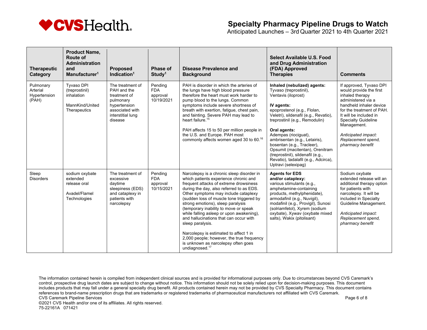

Anticipated Launches – 3rd Quarter 2021 to 4th Quarter 2021

| <b>Therapeutic</b><br>Category                 | <b>Product Name.</b><br><b>Route of</b><br><b>Administration</b><br>and<br>Manufacturer <sup>1</sup> | <b>Proposed</b><br>Indication $1$                                                                                               | <b>Phase of</b><br>Study <sup>1</sup>           | <b>Disease Prevalence and</b><br><b>Background</b>                                                                                                                                                                                                                                                                                                                                                                                                                                                                                                                                                               | Select Available U.S. Food<br>and Drug Administration<br>(FDA) Approved<br><b>Therapies</b>                                                                                                                                                                                                                                                                                                                                                        | <b>Comments</b>                                                                                                                                                                                                                                                                             |
|------------------------------------------------|------------------------------------------------------------------------------------------------------|---------------------------------------------------------------------------------------------------------------------------------|-------------------------------------------------|------------------------------------------------------------------------------------------------------------------------------------------------------------------------------------------------------------------------------------------------------------------------------------------------------------------------------------------------------------------------------------------------------------------------------------------------------------------------------------------------------------------------------------------------------------------------------------------------------------------|----------------------------------------------------------------------------------------------------------------------------------------------------------------------------------------------------------------------------------------------------------------------------------------------------------------------------------------------------------------------------------------------------------------------------------------------------|---------------------------------------------------------------------------------------------------------------------------------------------------------------------------------------------------------------------------------------------------------------------------------------------|
| Pulmonary<br>Arterial<br>Hypertension<br>(PAH) | Tyvaso DPI<br>(treprostinil)<br>inhalation<br>MannKind/United<br>Therapeutics                        | The treatment of<br>PAH and the<br>treatment of<br>pulmonary<br>hypertension<br>associated with<br>interstitial lung<br>disease | Pending<br><b>FDA</b><br>approval<br>10/19/2021 | PAH is disorder in which the arteries of<br>the lungs have high blood pressure<br>therefore the heart must work harder to<br>pump blood to the lungs. Common<br>symptoms include severe shortness of<br>breath with exertion, fatigue, chest pain,<br>and fainting. Severe PAH may lead to<br>heart failure. <sup>15</sup><br>PAH affects 15 to 50 per million people in<br>the U.S. and Europe. PAH most<br>commonly affects women aged 30 to 60. <sup>16</sup>                                                                                                                                                 | Inhaled (nebulized) agents:<br>Tyvaso (treprostinil),<br>Ventavis (iloprost)<br>IV agents:<br>epoprostenol (e.g., Flolan,<br>Veletri), sildenafil (e.g., Revatio),<br>treprostinil (e.g., Remodulin)<br>Oral agents:<br>Adempas (riociguat),<br>ambrisentan (e.g., Letairis),<br>bosentan (e.g., Tracleer),<br>Opsumit (macitentan), Orenitram<br>(treprostinil), sildenafil (e.g.,<br>Revatio), tadalafil (e.g., Adcirca),<br>Uptravi (selexipag) | If approved, Tyvaso DPI<br>would provide the first<br>inhaled therapy<br>administered via a<br>handheld inhaler device<br>for the treatment of PAH.<br>It will be included in<br><b>Specialty Guideline</b><br>Management.<br>Anticipated impact:<br>Replacement spend,<br>pharmacy benefit |
| Sleep<br><b>Disorders</b>                      | sodium oxybate<br>extended<br>release oral<br>Avadel/Flamel<br>Technologies                          | The treatment of<br>excessive<br>daytime<br>sleepiness (EDS)<br>and cataplexy in<br>patients with<br>narcolepsy                 | Pending<br><b>FDA</b><br>approval<br>10/15/2021 | Narcolepsy is a chronic sleep disorder in<br>which patients experience chronic and<br>frequent attacks of extreme drowsiness<br>during the day, also referred to as EDS.<br>Other symptoms may include cataplexy<br>(sudden loss of muscle tone triggered by<br>strong emotions), sleep paralysis<br>(temporary inability to move or speak<br>while falling asleep or upon awakening),<br>and hallucinations that can occur with<br>sleep paralysis.<br>Narcolepsy is estimated to affect 1 in<br>2,000 people; however, the true frequency<br>is unknown as narcolepsy often goes<br>undiagnosed. <sup>17</sup> | <b>Agents for EDS</b><br>and/or cataplexy:<br>various stimulants (e.g.,<br>amphetamine-containing<br>products, methylphenidate),<br>armodafinil (e.g., Nuvigil),<br>modafinil (e.g., Provigil), Sunosi<br>(solriamfetol), Xyrem (sodium<br>oxybate), Xywav (oxybate mixed<br>salts), Wakix (pitolisant)                                                                                                                                            | Sodium oxybate<br>extended release will an<br>additional therapy option<br>for patients with<br>narcolepsy. It will be<br>included in Specialty<br>Guideline Management.<br>Anticipated impact:<br>Replacement spend,<br>pharmacy benefit                                                   |

The information contained herein is compiled from independent clinical sources and is provided for informational purposes only. Due to circumstances beyond CVS Caremark's control, prospective drug launch dates are subject to change without notice. This information should not be solely relied upon for decision-making purposes. This document includes products that may fall under a general specialty drug benefit. All products contained herein may not be provided by CVS Specialty Pharmacy. This document contains references to brand-name prescription drugs that are trademarks or registered trademarks of pharmaceutical manufacturers not affiliated with CVS Caremark. CVS Caremark Pipeline Services **Page 6 of 8** and the services Page 6 of 8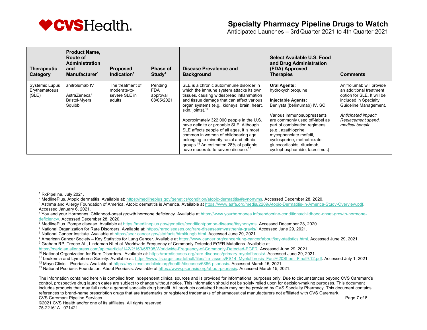

Anticipated Launches – 3rd Quarter 2021 to 4th Quarter 2021

| <b>Therapeutic</b><br>Category                  | <b>Product Name,</b><br>Route of<br><b>Administration</b><br>and<br>Manufacturer <sup>1</sup> | <b>Proposed</b><br>Indication $1$                           | <b>Phase of</b><br>Study <sup>1</sup>     | Disease Prevalence and<br><b>Background</b>                                                                                                                                                                                                                                                                                 | Select Available U.S. Food<br>and Drug Administration<br>(FDA) Approved<br><b>Therapies</b>                                                                                                                     | <b>Comments</b>                                                                                                                                            |
|-------------------------------------------------|-----------------------------------------------------------------------------------------------|-------------------------------------------------------------|-------------------------------------------|-----------------------------------------------------------------------------------------------------------------------------------------------------------------------------------------------------------------------------------------------------------------------------------------------------------------------------|-----------------------------------------------------------------------------------------------------------------------------------------------------------------------------------------------------------------|------------------------------------------------------------------------------------------------------------------------------------------------------------|
| <b>Systemic Lupus</b><br>Erythematosus<br>(SLE) | anifrolumab IV<br>AstraZeneca/<br><b>Bristol-Myers</b><br>Squibb                              | The treatment of<br>moderate-to-<br>severe SLE in<br>adults | Pending<br>FDA.<br>approval<br>08/05/2021 | SLE is a chronic autoimmune disorder in<br>which the immune system attacks its own<br>tissues, causing widespread inflammation<br>and tissue damage that can affect various<br>organ systems (e.g., kidneys, brain, heart,<br>skin, joints). <sup>18</sup>                                                                  | <b>Oral Agents:</b><br>hydroxychloroquine<br><b>Injectable Agents:</b><br>Benlysta (belimumab) IV, SC<br>Various immunosuppressants                                                                             | Anifrolumab will provide<br>an additional treatment<br>option for SLE. It will be<br>included in Specialty<br>Guideline Management.<br>Anticipated impact: |
|                                                 |                                                                                               |                                                             |                                           | Approximately 322,000 people in the U.S.<br>have definite or probable SLE. Although<br>SLE affects people of all ages, it is most<br>common in women of childbearing age<br>belonging to minority racial and ethnic<br>groups. <sup>19</sup> An estimated 28% of patients<br>have moderate-to-severe disease. <sup>20</sup> | are commonly used off-label as<br>part of combination regimens<br>(e.g., azathioprine,<br>mycophenolate mofetil,<br>cyclosporine, methotrexate,<br>glucocorticoids, rituximab,<br>cyclophosphamide, tacrolimus) | Replacement spend,<br>medical benefit                                                                                                                      |

<sup>1</sup> RxPipeline, July 2021.

<sup>&</sup>lt;sup>2</sup> MedlinePlus. Atopic dermatitis. Available at: https://medlineplus.gov/genetics/condition/atopic-dermatitis/#synonyms. Accessed December 28, 2020.

<sup>3</sup> Asthma and Allergy Foundation of America. Atopic dermatitis is America. Available at https://www.aafa.org/media/2209/Atopic-Dermatitis-in-America-Study-Overview.pdf. Accessed January 6, 2021.

<sup>&</sup>lt;sup>4</sup> You and your Hormones. Childhood-onset growth hormone deficiency. Available at https://www.yourhormones.info/endocrine-conditions/childhood-onset-growth-hormonedeficiency/. Accessed December 28, 2020.

<sup>5</sup> MedlinePlus. Pompe disease. Available at https://medlineplus.gov/genetics/condition/pompe-disease/#synonyms. Accessed December 28, 2020.

<sup>&</sup>lt;sup>6</sup> National Organization for Rare Disorders. Available at: https://rarediseases.org/rare-diseases/myasthenia-gravis/. Accessed June 29, 2021.

<sup>7</sup> National Cancer Institute. Available at https://seer.cancer.gov/statfacts/html/lungb.html. Accessed June 29, 2021.

<sup>8</sup> American Cancer Society - Key Statistics for Lung Cancer. Available at https://www.cancer.org/cancer/lung-cancer/about/key-statistics.html. Accessed June 29, 2021.

<sup>9</sup> Graham RP, Treece AL, Lindeman NI et al. Worldwide Frequency of Commonly Detected EGFR Mutations. Available at

https://meridian.allenpress.com/aplm/article/142/2/163/65795/Worldwide-Frequency-of-Commonly-Detected-EGFR. Accessed June 29, 2021.<br><sup>10</sup> National Organization for Rare Disorders. Available at: https://rarediseases.org/rare

<sup>&</sup>lt;sup>11</sup> Leukemia and Lymphoma Society. Available at: https://www.lls.org/sites/default/files/file\_assets/FS14\_Myelofibrosis\_Fact%20Sheet\_Final9.12.pdf. Accessed July 1, 2021.<br><sup>12</sup> Mavo Clinic – Psoriasis. Available at https:/

<sup>&</sup>lt;sup>13</sup> National Psoriasis Foundation. About Psoriasis. Available at https://www.psoriasis.org/about-psoriasis. Accessed March 15, 2021.

The information contained herein is compiled from independent clinical sources and is provided for informational purposes only. Due to circumstances beyond CVS Caremark's control, prospective drug launch dates are subject to change without notice. This information should not be solely relied upon for decision-making purposes. This document includes products that may fall under a general specialty drug benefit. All products contained herein may not be provided by CVS Specialty Pharmacy. This document contains references to brand-name prescription drugs that are trademarks or registered trademarks of pharmaceutical manufacturers not affiliated with CVS Caremark. CVS Caremark Pipeline Services **Page 7 of 8** and 2001 to 2001 the service page 7 of 8